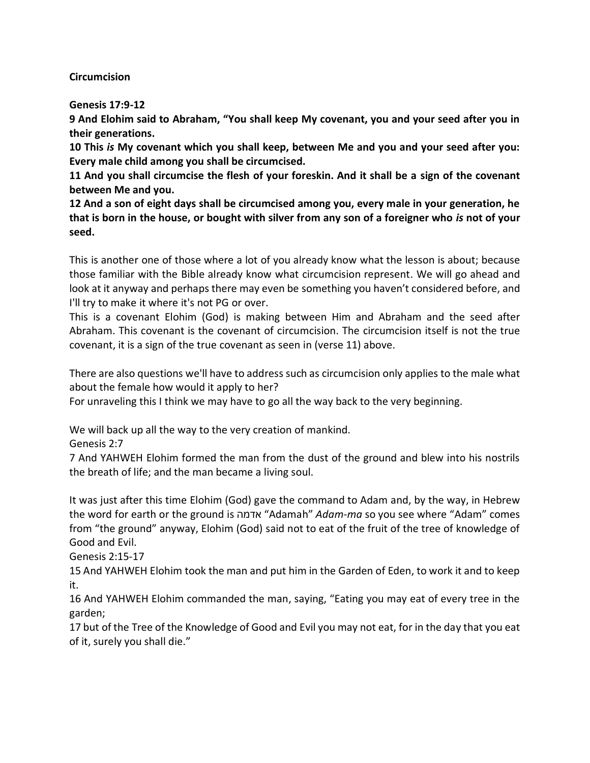## **Circumcision**

**Genesis 17:9-12**

**9 And Elohim said to Abraham, "You shall keep My covenant, you and your seed after you in their generations.**

**10 This** *is* **My covenant which you shall keep, between Me and you and your seed after you: Every male child among you shall be circumcised.**

**11 And you shall circumcise the flesh of your foreskin. And it shall be a sign of the covenant between Me and you.**

**12 And a son of eight days shall be circumcised among you, every male in your generation, he that is born in the house, or bought with silver from any son of a foreigner who** *is* **not of your seed.**

This is another one of those where a lot of you already know what the lesson is about; because those familiar with the Bible already know what circumcision represent. We will go ahead and look at it anyway and perhaps there may even be something you haven't considered before, and I'll try to make it where it's not PG or over.

This is a covenant Elohim (God) is making between Him and Abraham and the seed after Abraham. This covenant is the covenant of circumcision. The circumcision itself is not the true covenant, it is a sign of the true covenant as seen in (verse 11) above.

There are also questions we'll have to address such as circumcision only applies to the male what about the female how would it apply to her?

For unraveling this I think we may have to go all the way back to the very beginning.

We will back up all the way to the very creation of mankind.

Genesis 2:7

7 And YAHWEH Elohim formed the man from the dust of the ground and blew into his nostrils the breath of life; and the man became a living soul.

It was just after this time Elohim (God) gave the command to Adam and, by the way, in Hebrew the word for earth or the ground is אדמה" Adamah" *Adam-ma* so you see where "Adam" comes from "the ground" anyway, Elohim (God) said not to eat of the fruit of the tree of knowledge of Good and Evil.

Genesis 2:15-17

15 And YAHWEH Elohim took the man and put him in the Garden of Eden, to work it and to keep it.

16 And YAHWEH Elohim commanded the man, saying, "Eating you may eat of every tree in the garden;

17 but of the Tree of the Knowledge of Good and Evil you may not eat, for in the day that you eat of it, surely you shall die."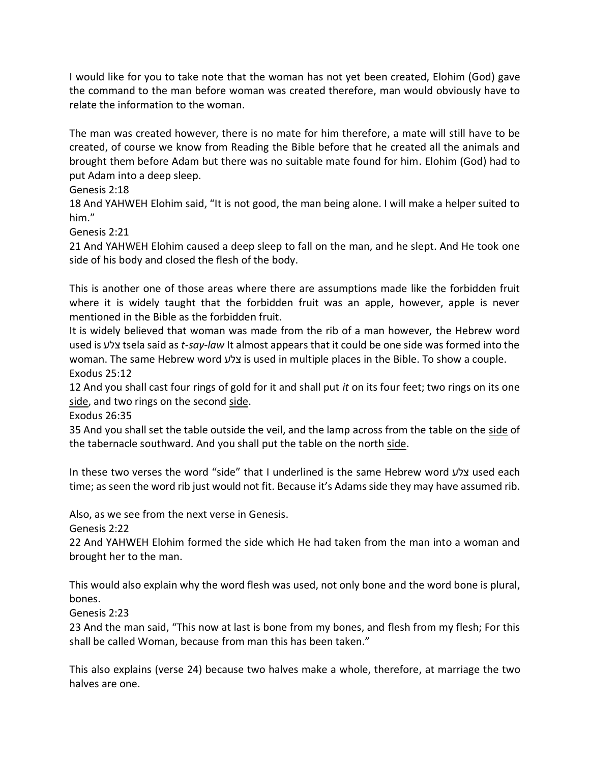I would like for you to take note that the woman has not yet been created, Elohim (God) gave the command to the man before woman was created therefore, man would obviously have to relate the information to the woman.

The man was created however, there is no mate for him therefore, a mate will still have to be created, of course we know from Reading the Bible before that he created all the animals and brought them before Adam but there was no suitable mate found for him. Elohim (God) had to put Adam into a deep sleep.

Genesis 2:18

18 And YAHWEH Elohim said, "It is not good, the man being alone. I will make a helper suited to him."

Genesis 2:21

21 And YAHWEH Elohim caused a deep sleep to fall on the man, and he slept. And He took one side of his body and closed the flesh of the body.

This is another one of those areas where there are assumptions made like the forbidden fruit where it is widely taught that the forbidden fruit was an apple, however, apple is never mentioned in the Bible as the forbidden fruit.

It is widely believed that woman was made from the rib of a man however, the Hebrew word used is צלע tsela said as *t-say-law* It almost appears that it could be one side was formed into the woman. The same Hebrew word צלע is used in multiple places in the Bible. To show a couple. Exodus 25:12

12 And you shall cast four rings of gold for it and shall put *it* on its four feet; two rings on its one side, and two rings on the second side.

Exodus 26:35

35 And you shall set the table outside the veil, and the lamp across from the table on the side of the tabernacle southward. And you shall put the table on the north side.

In these two verses the word "side" that I underlined is the same Hebrew word צלע used each time; as seen the word rib just would not fit. Because it's Adamsside they may have assumed rib.

Also, as we see from the next verse in Genesis.

Genesis 2:22

22 And YAHWEH Elohim formed the side which He had taken from the man into a woman and brought her to the man.

This would also explain why the word flesh was used, not only bone and the word bone is plural, bones.

Genesis 2:23

23 And the man said, "This now at last is bone from my bones, and flesh from my flesh; For this shall be called Woman, because from man this has been taken."

This also explains (verse 24) because two halves make a whole, therefore, at marriage the two halves are one.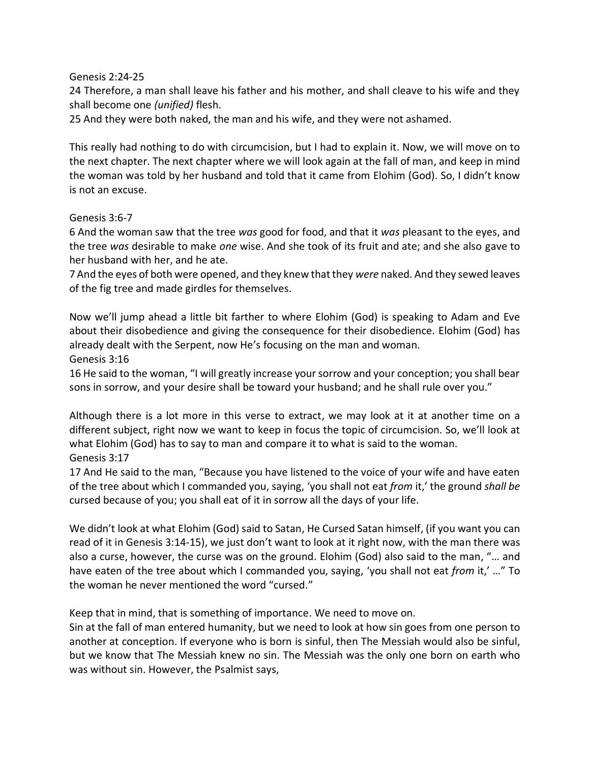Genesis 2:24-25

24 Therefore, a man shall leave his father and his mother, and shall cleave to his wife and they shall become one *(unified)* flesh.

25 And they were both naked, the man and his wife, and they were not ashamed.

This really had nothing to do with circumcision, but I had to explain it. Now, we will move on to the next chapter. The next chapter where we will look again at the fall of man, and keep in mind the woman was told by her husband and told that it came from Elohim (God). So, I didn't know is not an excuse.

## Genesis 3:6-7

6 And the woman saw that the tree *was* good for food, and that it *was* pleasant to the eyes, and the tree *was* desirable to make *one* wise. And she took of its fruit and ate; and she also gave to her husband with her, and he ate.

7 And the eyes of both were opened, and they knew that they *were* naked. And they sewed leaves of the fig tree and made girdles for themselves.

Now we'll jump ahead a little bit farther to where Elohim (God) is speaking to Adam and Eve about their disobedience and giving the consequence for their disobedience. Elohim (God) has already dealt with the Serpent, now He's focusing on the man and woman. Genesis 3:16

16 He said to the woman, "I will greatly increase your sorrow and your conception; you shall bear sons in sorrow, and your desire shall be toward your husband; and he shall rule over you."

Although there is a lot more in this verse to extract, we may look at it at another time on a different subject, right now we want to keep in focus the topic of circumcision. So, we'll look at what Elohim (God) has to say to man and compare it to what is said to the woman. Genesis 3:17

17 And He said to the man, "Because you have listened to the voice of your wife and have eaten of the tree about which I commanded you, saying, 'you shall not eat *from* it,' the ground *shall be*  cursed because of you; you shall eat of it in sorrow all the days of your life.

We didn't look at what Elohim (God) said to Satan, He Cursed Satan himself, (if you want you can read of it in Genesis 3:14-15), we just don't want to look at it right now, with the man there was also a curse, however, the curse was on the ground. Elohim (God) also said to the man, "… and have eaten of the tree about which I commanded you, saying, 'you shall not eat *from* it,' …" To the woman he never mentioned the word "cursed."

Keep that in mind, that is something of importance. We need to move on.

Sin at the fall of man entered humanity, but we need to look at how sin goes from one person to another at conception. If everyone who is born is sinful, then The Messiah would also be sinful, but we know that The Messiah knew no sin. The Messiah was the only one born on earth who was without sin. However, the Psalmist says,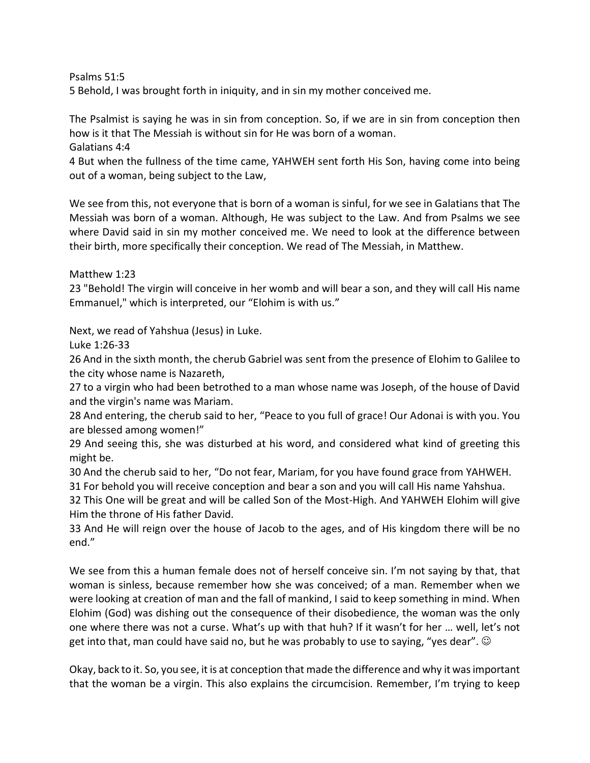Psalms 51:5

5 Behold, I was brought forth in iniquity, and in sin my mother conceived me.

The Psalmist is saying he was in sin from conception. So, if we are in sin from conception then how is it that The Messiah is without sin for He was born of a woman.

Galatians 4:4

4 But when the fullness of the time came, YAHWEH sent forth His Son, having come into being out of a woman, being subject to the Law,

We see from this, not everyone that is born of a woman is sinful, for we see in Galatians that The Messiah was born of a woman. Although, He was subject to the Law. And from Psalms we see where David said in sin my mother conceived me. We need to look at the difference between their birth, more specifically their conception. We read of The Messiah, in Matthew.

Matthew 1:23

23 "Behold! The virgin will conceive in her womb and will bear a son, and they will call His name Emmanuel," which is interpreted, our "Elohim is with us."

Next, we read of Yahshua (Jesus) in Luke.

Luke 1:26-33

26 And in the sixth month, the cherub Gabriel was sent from the presence of Elohim to Galilee to the city whose name is Nazareth,

27 to a virgin who had been betrothed to a man whose name was Joseph, of the house of David and the virgin's name was Mariam.

28 And entering, the cherub said to her, "Peace to you full of grace! Our Adonai is with you. You are blessed among women!"

29 And seeing this, she was disturbed at his word, and considered what kind of greeting this might be.

30 And the cherub said to her, "Do not fear, Mariam, for you have found grace from YAHWEH.

31 For behold you will receive conception and bear a son and you will call His name Yahshua.

32 This One will be great and will be called Son of the Most-High. And YAHWEH Elohim will give Him the throne of His father David.

33 And He will reign over the house of Jacob to the ages, and of His kingdom there will be no end."

We see from this a human female does not of herself conceive sin. I'm not saying by that, that woman is sinless, because remember how she was conceived; of a man. Remember when we were looking at creation of man and the fall of mankind, I said to keep something in mind. When Elohim (God) was dishing out the consequence of their disobedience, the woman was the only one where there was not a curse. What's up with that huh? If it wasn't for her … well, let's not get into that, man could have said no, but he was probably to use to saying, "yes dear".  $\odot$ 

Okay, back to it. So, you see, it is at conception that made the difference and why it was important that the woman be a virgin. This also explains the circumcision. Remember, I'm trying to keep